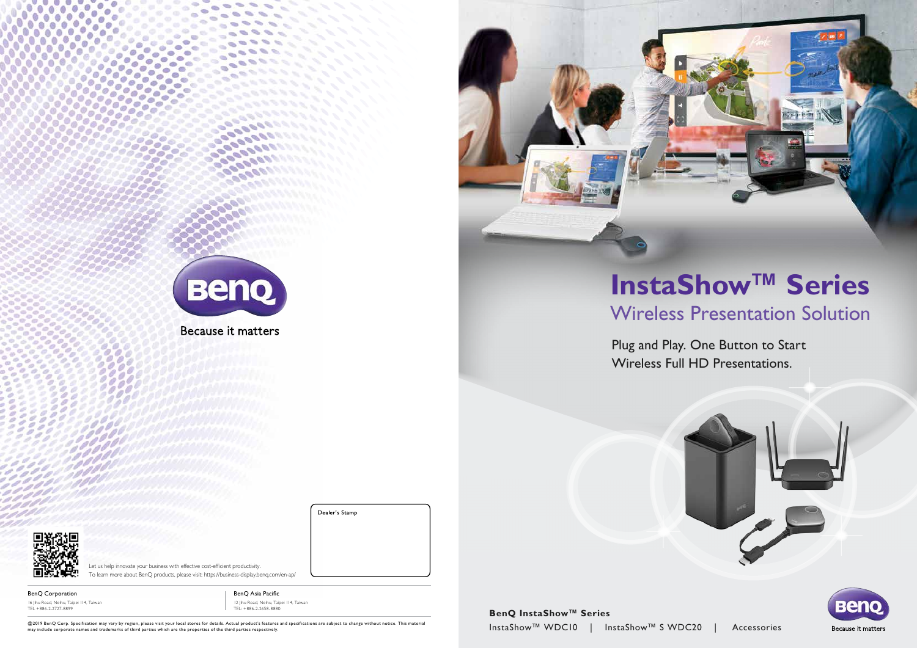

Because it matters







# **InstaShow™ Series** Wireless Presentation Solution

### Plug and Play. One Button to Start Wireless Full HD Presentations.





Because it matters

@2019 BenQ Corp. Specification may vary by region, please visit your local stores for details. Actual product's features and specifications are subject to change without notice. This material may include corporate names and trademarks of third parties which are the properties of the third parties respectively.

Let us help innovate your business with effective cost-efficient productivity. To learn more about BenQ products, please visit: https://business-display.benq.com/en-ap/

BenQ Corporation 16 Jihu Road, Neihu, Taipei 114, Taiwan TEL +886-2-2727-8899

BenQ Asia Pacific 12 Jihu Road, Neihu, Taipei 114, Taiwan TEL: +886-2-2658-8880

Dealer's Stamp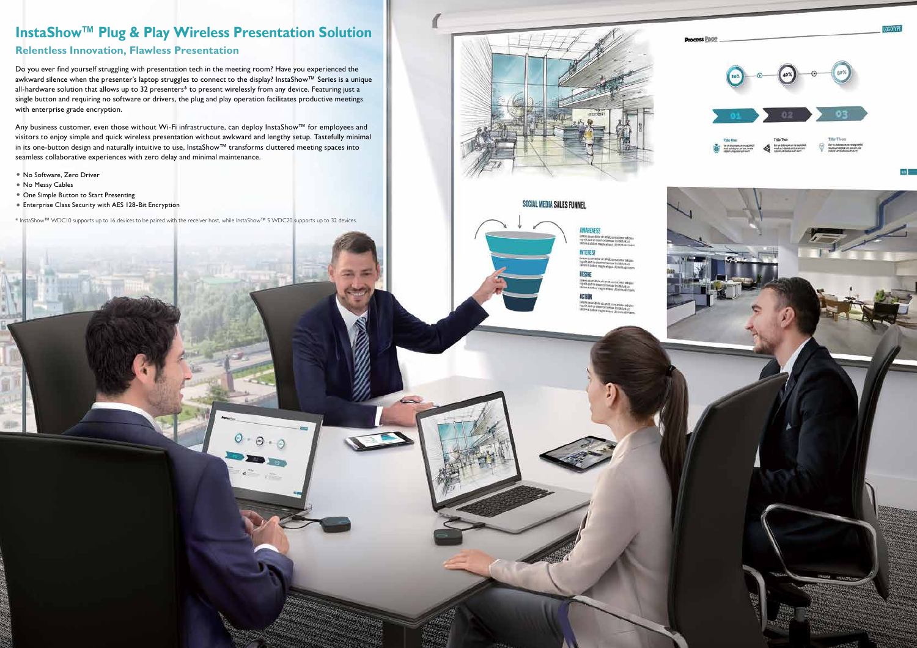#### **Relentless Innovation, Flawless Presentation**

Do you ever find yourself struggling with presentation tech in the meeting room? Have you experienced the awkward silence when the presenter's laptop struggles to connect to the display? InstaShow™ Series is a unique all-hardware solution that allows up to 32 presenters\* to present wirelessly from any device. Featuring just a single button and requiring no software or drivers, the plug and play operation facilitates productive meetings with enterprise grade encryption.

Any business customer, even those without Wi-Fi infrastructure, can deploy InstaShow™ for employees and visitors to enjoy simple and quick wireless presentation without awkward and lengthy setup. Tastefully minimal in its one-button design and naturally intuitive to use, InstaShow™ transforms cluttered meeting spaces into seamless collaborative experiences with zero delay and minimal maintenance.

- No Software, Zero Driver
- No Messy Cables
- One Simple Button to Start Presenting
- Enterprise Class Security with AES 128-Bit Encryption

\* InstaShow™ WDC10 supports up to 16 devices to be paired with the receiver host, while InstaShow™ S WDC20 supports up to 32 devices.

 $\Theta$ 

 $-0.0$ 



#### SOCIAL MEDIA SALES FUNNEL



**Process Page** 



39 L



### **InstaShow™ Plug & Play Wireless Presentation Solution**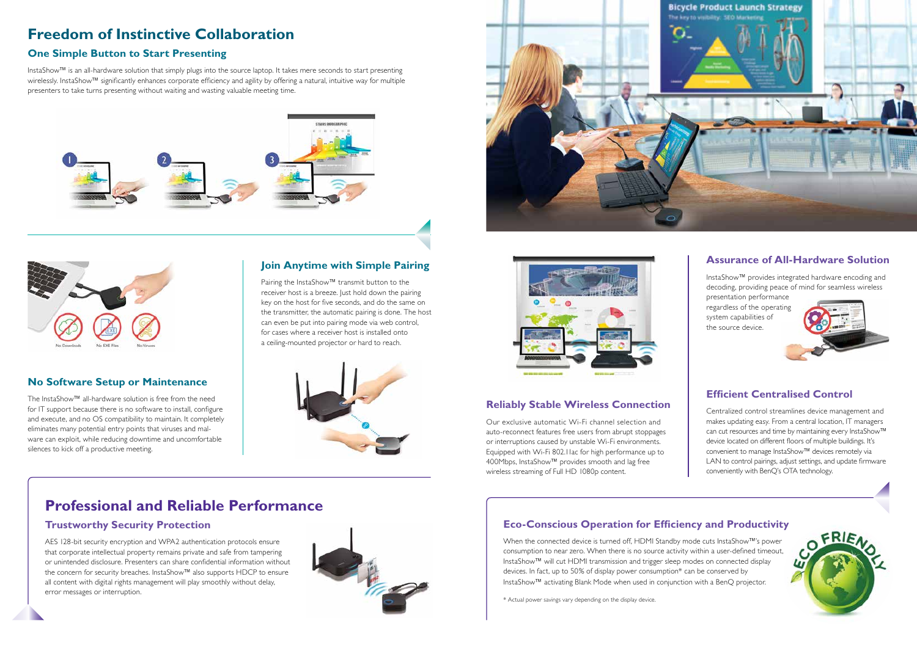#### **No Software Setup or Maintenance**

The InstaShow™ all-hardware solution is free from the need for IT support because there is no software to install, configure and execute, and no OS compatibility to maintain. It completely eliminates many potential entry points that viruses and malware can exploit, while reducing downtime and uncomfortable silences to kick off a productive meeting.

#### **Join Anytime with Simple Pairing**

Pairing the InstaShow™ transmit button to the receiver host is a breeze. Just hold down the pairing key on the host for five seconds, and do the same on the transmitter, the automatic pairing is done. The host can even be put into pairing mode via web control, for cases where a receiver host is installed onto a ceiling-mounted projector or hard to reach.



#### **One Simple Button to Start Presenting**

InstaShow™ is an all-hardware solution that simply plugs into the source laptop. It takes mere seconds to start presenting wirelessly. InstaShow™ significantly enhances corporate efficiency and agility by offering a natural, intuitive way for multiple presenters to take turns presenting without waiting and wasting valuable meeting time.







## **Freedom of Instinctive Collaboration**

InstaShow™ provides integrated hardware encoding and decoding, providing peace of mind for seamless wireless

presentation performance regardless of the operating system capabilities of the source device.



#### **Assurance of All-Hardware Solution**

#### **Efficient Centralised Control**

Centralized control streamlines device management and makes updating easy. From a central location, IT managers can cut resources and time by maintaining every InstaShow™ device located on different floors of multiple buildings. It's convenient to manage InstaShow™ devices remotely via LAN to control pairings, adjust settings, and update firmware conveniently with BenQ's OTA technology.



### **Professional and Reliable Performance**

#### **Trustworthy Security Protection**

AES 128-bit security encryption and WPA2 authentication protocols ensure that corporate intellectual property remains private and safe from tampering or unintended disclosure. Presenters can share confidential information without the concern for security breaches. InstaShow™ also supports HDCP to ensure all content with digital rights management will play smoothly without delay, error messages or interruption.





#### **Reliably Stable Wireless Connection**

Our exclusive automatic Wi-Fi channel selection and auto-reconnect features free users from abrupt stoppages or interruptions caused by unstable Wi-Fi environments. Equipped with Wi-Fi 802.11ac for high performance up to 400Mbps, InstaShow™ provides smooth and lag free wireless streaming of Full HD 1080p content.

### **Eco-Conscious Operation for Efficiency and Productivity**

When the connected device is turned off, HDMI Standby mode cuts InstaShow™'s power consumption to near zero. When there is no source activity within a user-defined timeout, InstaShow™ will cut HDMI transmission and trigger sleep modes on connected display devices. In fact, up to 50% of display power consumption\* can be conserved by InstaShow™ activating Blank Mode when used in conjunction with a BenQ projector.

\* Actual power savings vary depending on the display device.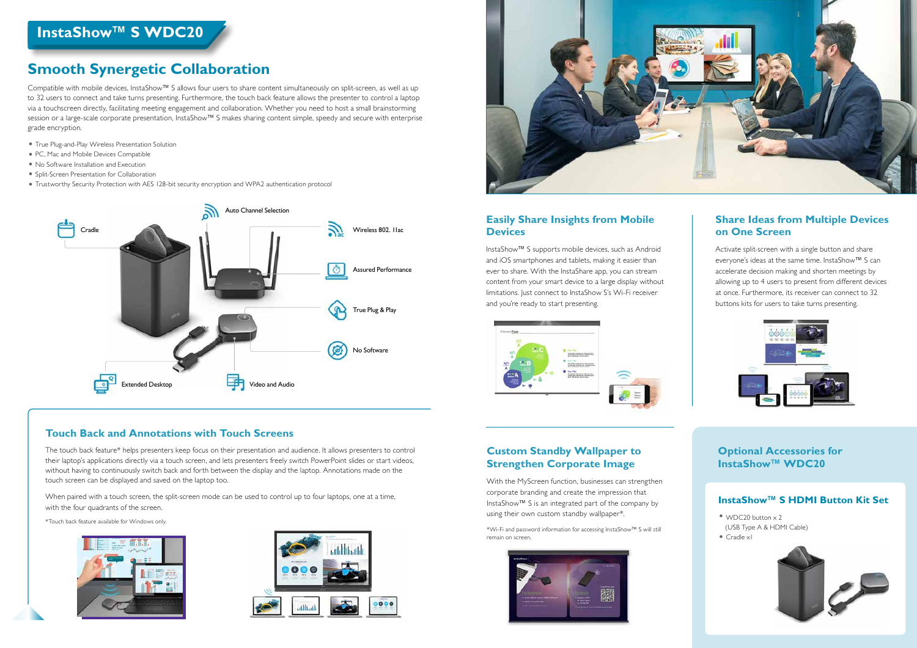#### **Easily Share Insights from Mobile Devices**

InstaShow™ S supports mobile devices, such as Android and iOS smartphones and tablets, making it easier than ever to share. With the InstaShare app, you can stream content from your smart device to a large display without limitations. Just connect to InstaShow S's Wi-Fi receiver and you're ready to start presenting.



#### **Touch Back and Annotations with Touch Screens**

The touch back feature\* helps presenters keep focus on their presentation and audience. It allows presenters to control their laptop's applications directly via a touch screen, and lets presenters freely switch PowerPoint slides or start videos, without having to continuously switch back and forth between the display and the laptop. Annotations made on the touch screen can be displayed and saved on the laptop too.

When paired with a touch screen, the split-screen mode can be used to control up to four laptops, one at a time, with the four quadrants of the screen.

> • WDC20 button x 2 (USB Type A & HDMI Cable) • Cradle xI



\*Touch back feature available for Windows only.







#### **Custom Standby Wallpaper to Strengthen Corporate Image**

With the MyScreen function, businesses can strengthen corporate branding and create the impression that InstaShow™ S is an integrated part of the company by using their own custom standby wallpaper\*.

\*Wi-Fi and password information for accessing InstaShow™ S will still remain on screen.



#### **Share Ideas from Multiple Devices on One Screen**

Activate split-screen with a single button and share everyone's ideas at the same time. InstaShow™ S can accelerate decision making and shorten meetings by allowing up to 4 users to present from different devices at once. Furthermore, its receiver can connect to 32 buttons kits for users to take turns presenting.



**Optional Accessories for InstaShow™ WDC20**

#### **InstaShow™ S HDMI Button Kit Set**

## **InstaShow™ S WDC20 InstaShow™ S WDC20**

Compatible with mobile devices, InstaShow™ S allows four users to share content simultaneously on split-screen, as well as up to 32 users to connect and take turns presenting. Furthermore, the touch back feature allows the presenter to control a laptop via a touchscreen directly, facilitating meeting engagement and collaboration. Whether you need to host a small brainstorming session or a large-scale corporate presentation, InstaShow™ S makes sharing content simple, speedy and secure with enterprise grade encryption.

- True Plug-and-Play Wireless Presentation Solution
- PC, Mac and Mobile Devices Compatible
- No Software Installation and Execution
- Split-Screen Presentation for Collaboration
- Trustworthy Security Protection with AES 128-bit security encryption and WPA2 authentication protocol

### **Smooth Synergetic Collaboration**

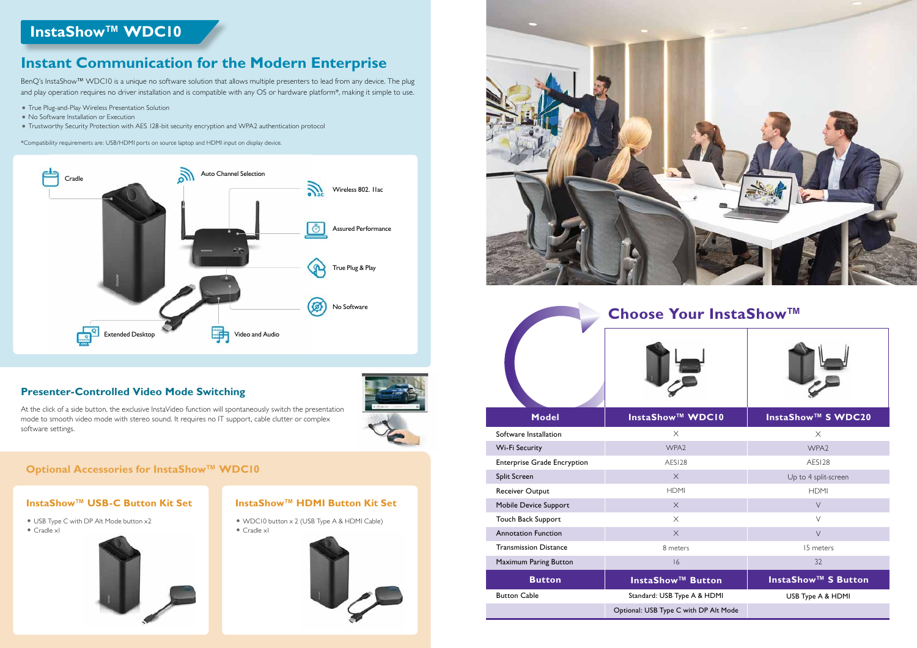### **InstaShow™ WDC10**

- True Plug-and-Play Wireless Presentation Solution
- No Software Installation or Execution
- Trustworthy Security Protection with AES 128-bit security encryption and WPA2 authentication protocol

At the click of a side button, the exclusive InstaVideo function will spontaneously switch the presentation mode to smooth video mode with stereo sound. It requires no IT support, cable clutter or complex software settings.

\*Compatibility requirements are: USB/HDMI ports on source laptop and HDMI input on display device.

#### **Presenter-Controlled Video Mode Switching**



### **Optional Accessories for InstaShow™ WDC10**

### **Instant Communication for the Modern Enterprise**

BenQ's InstaShow™ WDC10 is a unique no software solution that allows multiple presenters to lead from any device. The plug and play operation requires no driver installation and is compatible with any OS or hardware platform\*, making it simple to use.



#### **InstaShow™ USB-C Button Kit Set**

- USB Type C with DP Alt Mode button x2
- Cradle x1



#### **InstaShow™ HDMI Button Kit Set**

- WDC10 button x 2 (USB Type A & HDMI Cable)
- Cradle x1





| <b>Model</b>                       | <b>InstaShow™ WDCI0</b>               | InstaShow™ S WDC20         |
|------------------------------------|---------------------------------------|----------------------------|
| Software Installation              | $\times$                              | $\times$                   |
| Wi-Fi Security                     | WPA <sub>2</sub>                      | WPA <sub>2</sub>           |
| <b>Enterprise Grade Encryption</b> | AESI28                                | AESI28                     |
| Split Screen                       | $\times$                              | Up to 4 split-screen       |
| Receiver Output                    | <b>HDMI</b>                           | <b>HDMI</b>                |
| Mobile Device Support              | $\times$                              | $\vee$                     |
| Touch Back Support                 | $\times$                              | $\vee$                     |
| <b>Annotation Function</b>         | $\times$                              | $\vee$                     |
| <b>Transmission Distance</b>       | 8 meters                              | 15 meters                  |
| Maximum Paring Button              | 16                                    | 32                         |
| <b>Button</b>                      | <b>InstaShow™ Button</b>              | <b>InstaShow™ S Button</b> |
| <b>Button Cable</b>                | Standard: USB Type A & HDMI           | USB Type A & HDMI          |
|                                    | Optional: USB Type C with DP Alt Mode |                            |

### **Choose Your InstaShow™**